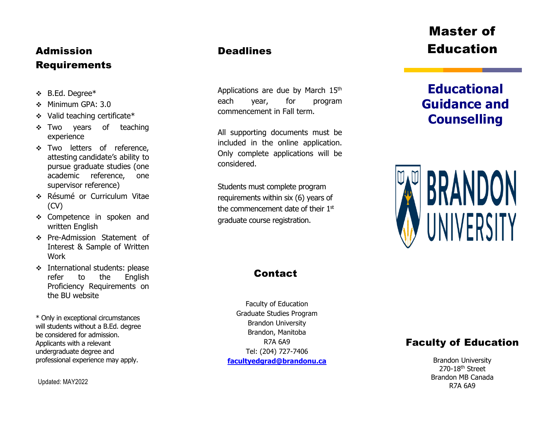## Admission Requirements

- B.Ed. Degree\*
- Minimum GPA: 3.0
- Valid teaching certificate\*
- \* Two years of teaching experience
- \* Two letters of reference, attesting candidate's ability to pursue graduate studies (one academic reference, one supervisor reference)
- Résumé or Curriculum Vitae (CV)
- \* Competence in spoken and written English
- Pre -Admission Statement of Interest & Sample of Written Work
- **International students: please** refer to the English Proficiency Requirements on the BU website

\* Only in exceptional circumstances will students without a B.Ed. degree be considered for admission. Applicants with a relevant undergraduate degree and professional experience may apply.

Updated: MAY2022

### **Deadlines**

Applications are due by March 15<sup>th</sup> each year, for program commencement in Fall term.

All supporting documents must be included in the online application. Only complete applications will be considered.

Students must complete program requirements within six (6) years of the commencement date of their 1st graduate course registration.

## **Contact**

Faculty of Education Graduate Studies Program Brandon University Brandon, Manitoba R7A 6A9 Tel: (204) 727 -7406 **[facultyedgrad@brandonu.ca](mailto:facultyedgrad@brandonu.ca)**

# Master of Education

# **Educational Guidance and Counselling**



## Faculty of Education

Brandon University 270-18<sup>th</sup> Street Brandon MB Canada R7A 6A9